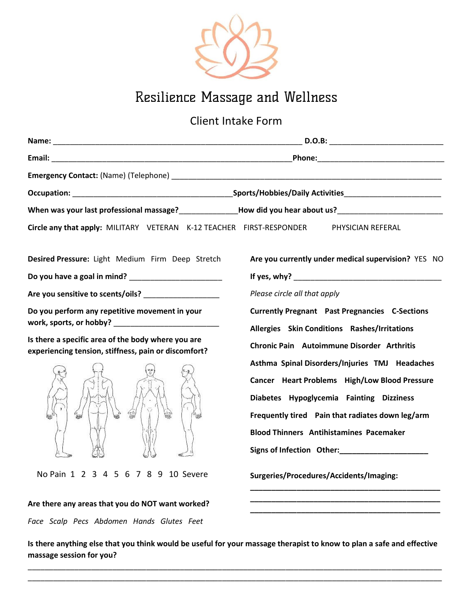

## Resilience Massage and Wellness

Client Intake Form

|                                                                                                            | _ D.O.B: _____________________________                |  |
|------------------------------------------------------------------------------------------------------------|-------------------------------------------------------|--|
|                                                                                                            |                                                       |  |
|                                                                                                            |                                                       |  |
|                                                                                                            |                                                       |  |
|                                                                                                            |                                                       |  |
| Circle any that apply: MILITARY VETERAN K-12 TEACHER FIRST-RESPONDER                                       | PHYSICIAN REFERAL                                     |  |
| Desired Pressure: Light Medium Firm Deep Stretch                                                           | Are you currently under medical supervision? YES NO   |  |
|                                                                                                            |                                                       |  |
| Are you sensitive to scents/oils?                                                                          | Please circle all that apply                          |  |
| Do you perform any repetitive movement in your                                                             | <b>Currently Pregnant Past Pregnancies C-Sections</b> |  |
|                                                                                                            | Allergies Skin Conditions Rashes/Irritations          |  |
| Is there a specific area of the body where you are<br>experiencing tension, stiffness, pain or discomfort? | Chronic Pain Autoimmune Disorder Arthritis            |  |
|                                                                                                            | Asthma Spinal Disorders/Injuries TMJ Headaches        |  |
| en,<br>$u_{44}$                                                                                            | Cancer Heart Problems High/Low Blood Pressure         |  |
|                                                                                                            | Diabetes Hypoglycemia Fainting Dizziness              |  |
|                                                                                                            | Frequently tired Pain that radiates down leg/arm      |  |
|                                                                                                            | <b>Blood Thinners Antihistamines Pacemaker</b>        |  |
|                                                                                                            |                                                       |  |
| No Pain 1 2 3 4 5 6 7 8 9 10 Severe                                                                        | Surgeries/Procedures/Accidents/Imaging:               |  |
|                                                                                                            |                                                       |  |

Is there anything else that you think would be useful for your massage therapist to know to plan a safe and effective massage session for you?

\_\_\_\_\_\_\_\_\_\_\_\_\_\_\_\_\_\_\_\_\_\_\_\_\_\_\_\_\_\_\_\_\_\_\_\_\_\_\_\_\_\_\_\_\_\_\_\_\_\_\_\_\_\_\_\_\_\_\_\_\_\_\_\_\_\_\_\_\_\_\_\_\_\_\_\_\_\_\_\_\_\_\_\_\_\_\_\_\_\_\_\_\_\_\_\_\_\_ \_\_\_\_\_\_\_\_\_\_\_\_\_\_\_\_\_\_\_\_\_\_\_\_\_\_\_\_\_\_\_\_\_\_\_\_\_\_\_\_\_\_\_\_\_\_\_\_\_\_\_\_\_\_\_\_\_\_\_\_\_\_\_\_\_\_\_\_\_\_\_\_\_\_\_\_\_\_\_\_\_\_\_\_\_\_\_\_\_\_\_\_\_\_\_\_\_\_

\_\_\_\_\_\_\_\_\_\_\_\_\_\_\_\_\_\_\_\_\_\_\_\_\_\_\_\_\_\_\_\_\_\_\_\_\_\_\_\_\_\_\_\_\_

Are there any areas that you do NOT want worked?

Face Scalp Pecs Abdomen Hands Glutes Feet